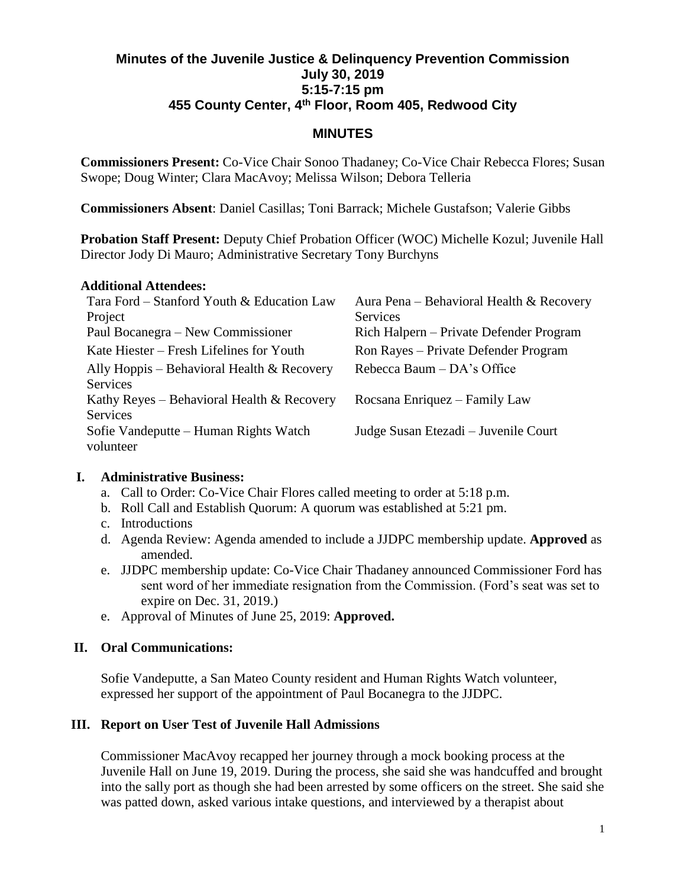## **Minutes of the Juvenile Justice & Delinquency Prevention Commission July 30, 2019 5:15-7:15 pm 455 County Center, 4th Floor, Room 405, Redwood City**

## **MINUTES**

**Commissioners Present:** Co-Vice Chair Sonoo Thadaney; Co-Vice Chair Rebecca Flores; Susan Swope; Doug Winter; Clara MacAvoy; Melissa Wilson; Debora Telleria

**Commissioners Absent**: Daniel Casillas; Toni Barrack; Michele Gustafson; Valerie Gibbs

**Probation Staff Present:** Deputy Chief Probation Officer (WOC) Michelle Kozul; Juvenile Hall Director Jody Di Mauro; Administrative Secretary Tony Burchyns

#### **Additional Attendees:**

| Tara Ford – Stanford Youth & Education Law   | Aura Pena – Behavioral Health & Recovery |
|----------------------------------------------|------------------------------------------|
| Project                                      | Services                                 |
| Paul Bocanegra – New Commissioner            | Rich Halpern – Private Defender Program  |
| Kate Hiester – Fresh Lifelines for Youth     | Ron Rayes - Private Defender Program     |
| Ally Hoppis – Behavioral Health $&$ Recovery | Rebecca Baum $-$ DA's Office             |
| <b>Services</b>                              |                                          |
| Kathy Reyes – Behavioral Health & Recovery   | Rocsana Enriquez – Family Law            |
| <b>Services</b>                              |                                          |
| Sofie Vandeputte - Human Rights Watch        | Judge Susan Etezadi – Juvenile Court     |
| volunteer                                    |                                          |

### **I. Administrative Business:**

- a. Call to Order: Co-Vice Chair Flores called meeting to order at 5:18 p.m.
- b. Roll Call and Establish Quorum: A quorum was established at 5:21 pm.
- c. Introductions
- d. Agenda Review: Agenda amended to include a JJDPC membership update. **Approved** as amended.
- e. JJDPC membership update: Co-Vice Chair Thadaney announced Commissioner Ford has sent word of her immediate resignation from the Commission. (Ford's seat was set to expire on Dec. 31, 2019.)
- e. Approval of Minutes of June 25, 2019: **Approved.**

# **II. Oral Communications:**

Sofie Vandeputte, a San Mateo County resident and Human Rights Watch volunteer, expressed her support of the appointment of Paul Bocanegra to the JJDPC.

# **III. Report on User Test of Juvenile Hall Admissions**

Commissioner MacAvoy recapped her journey through a mock booking process at the Juvenile Hall on June 19, 2019. During the process, she said she was handcuffed and brought into the sally port as though she had been arrested by some officers on the street. She said she was patted down, asked various intake questions, and interviewed by a therapist about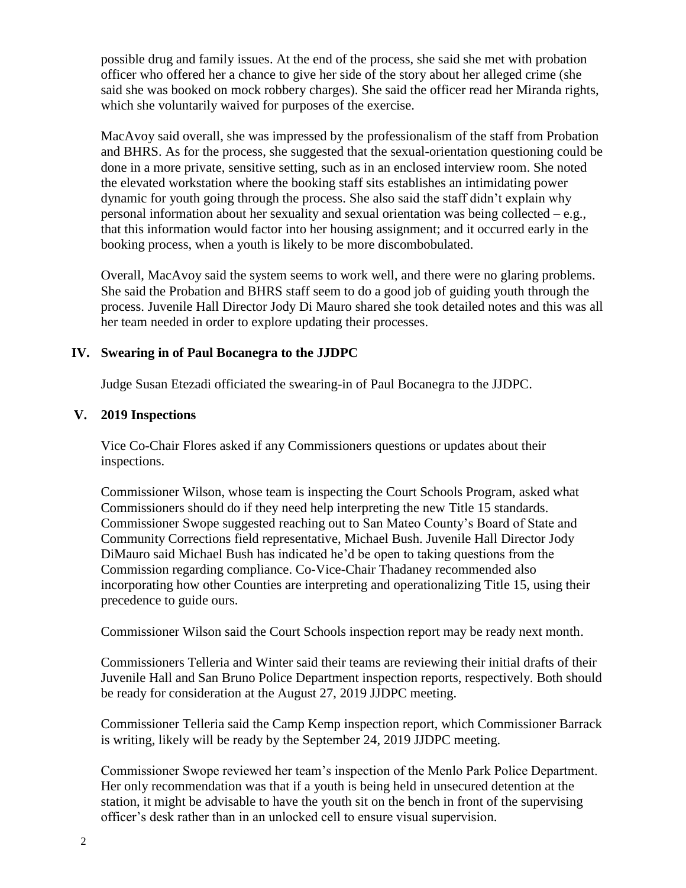possible drug and family issues. At the end of the process, she said she met with probation officer who offered her a chance to give her side of the story about her alleged crime (she said she was booked on mock robbery charges). She said the officer read her Miranda rights, which she voluntarily waived for purposes of the exercise.

MacAvoy said overall, she was impressed by the professionalism of the staff from Probation and BHRS. As for the process, she suggested that the sexual-orientation questioning could be done in a more private, sensitive setting, such as in an enclosed interview room. She noted the elevated workstation where the booking staff sits establishes an intimidating power dynamic for youth going through the process. She also said the staff didn't explain why personal information about her sexuality and sexual orientation was being collected – e.g., that this information would factor into her housing assignment; and it occurred early in the booking process, when a youth is likely to be more discombobulated.

Overall, MacAvoy said the system seems to work well, and there were no glaring problems. She said the Probation and BHRS staff seem to do a good job of guiding youth through the process. Juvenile Hall Director Jody Di Mauro shared she took detailed notes and this was all her team needed in order to explore updating their processes.

### **IV. Swearing in of Paul Bocanegra to the JJDPC**

Judge Susan Etezadi officiated the swearing-in of Paul Bocanegra to the JJDPC.

#### **V. 2019 Inspections**

Vice Co-Chair Flores asked if any Commissioners questions or updates about their inspections.

Commissioner Wilson, whose team is inspecting the Court Schools Program, asked what Commissioners should do if they need help interpreting the new Title 15 standards. Commissioner Swope suggested reaching out to San Mateo County's Board of State and Community Corrections field representative, Michael Bush. Juvenile Hall Director Jody DiMauro said Michael Bush has indicated he'd be open to taking questions from the Commission regarding compliance. Co-Vice-Chair Thadaney recommended also incorporating how other Counties are interpreting and operationalizing Title 15, using their precedence to guide ours.

Commissioner Wilson said the Court Schools inspection report may be ready next month.

Commissioners Telleria and Winter said their teams are reviewing their initial drafts of their Juvenile Hall and San Bruno Police Department inspection reports, respectively. Both should be ready for consideration at the August 27, 2019 JJDPC meeting.

Commissioner Telleria said the Camp Kemp inspection report, which Commissioner Barrack is writing, likely will be ready by the September 24, 2019 JJDPC meeting.

Commissioner Swope reviewed her team's inspection of the Menlo Park Police Department. Her only recommendation was that if a youth is being held in unsecured detention at the station, it might be advisable to have the youth sit on the bench in front of the supervising officer's desk rather than in an unlocked cell to ensure visual supervision.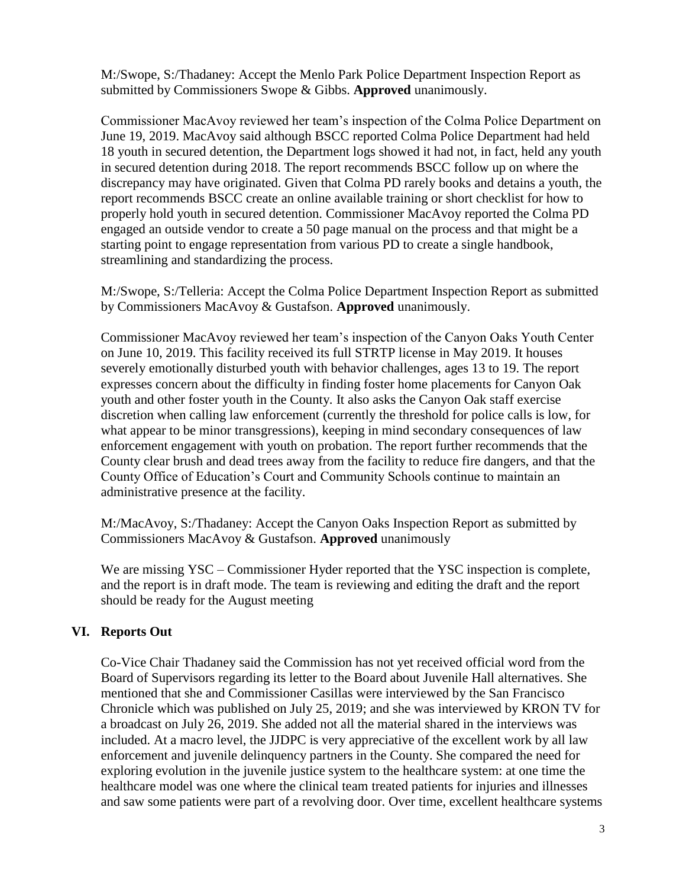M:/Swope, S:/Thadaney: Accept the Menlo Park Police Department Inspection Report as submitted by Commissioners Swope & Gibbs. **Approved** unanimously.

Commissioner MacAvoy reviewed her team's inspection of the Colma Police Department on June 19, 2019. MacAvoy said although BSCC reported Colma Police Department had held 18 youth in secured detention, the Department logs showed it had not, in fact, held any youth in secured detention during 2018. The report recommends BSCC follow up on where the discrepancy may have originated. Given that Colma PD rarely books and detains a youth, the report recommends BSCC create an online available training or short checklist for how to properly hold youth in secured detention. Commissioner MacAvoy reported the Colma PD engaged an outside vendor to create a 50 page manual on the process and that might be a starting point to engage representation from various PD to create a single handbook, streamlining and standardizing the process.

M:/Swope, S:/Telleria: Accept the Colma Police Department Inspection Report as submitted by Commissioners MacAvoy & Gustafson. **Approved** unanimously.

Commissioner MacAvoy reviewed her team's inspection of the Canyon Oaks Youth Center on June 10, 2019. This facility received its full STRTP license in May 2019. It houses severely emotionally disturbed youth with behavior challenges, ages 13 to 19. The report expresses concern about the difficulty in finding foster home placements for Canyon Oak youth and other foster youth in the County. It also asks the Canyon Oak staff exercise discretion when calling law enforcement (currently the threshold for police calls is low, for what appear to be minor transgressions), keeping in mind secondary consequences of law enforcement engagement with youth on probation. The report further recommends that the County clear brush and dead trees away from the facility to reduce fire dangers, and that the County Office of Education's Court and Community Schools continue to maintain an administrative presence at the facility.

M:/MacAvoy, S:/Thadaney: Accept the Canyon Oaks Inspection Report as submitted by Commissioners MacAvoy & Gustafson. **Approved** unanimously

We are missing YSC – Commissioner Hyder reported that the YSC inspection is complete, and the report is in draft mode. The team is reviewing and editing the draft and the report should be ready for the August meeting

### **VI. Reports Out**

Co-Vice Chair Thadaney said the Commission has not yet received official word from the Board of Supervisors regarding its letter to the Board about Juvenile Hall alternatives. She mentioned that she and Commissioner Casillas were interviewed by the San Francisco Chronicle which was published on July 25, 2019; and she was interviewed by KRON TV for a broadcast on July 26, 2019. She added not all the material shared in the interviews was included. At a macro level, the JJDPC is very appreciative of the excellent work by all law enforcement and juvenile delinquency partners in the County. She compared the need for exploring evolution in the juvenile justice system to the healthcare system: at one time the healthcare model was one where the clinical team treated patients for injuries and illnesses and saw some patients were part of a revolving door. Over time, excellent healthcare systems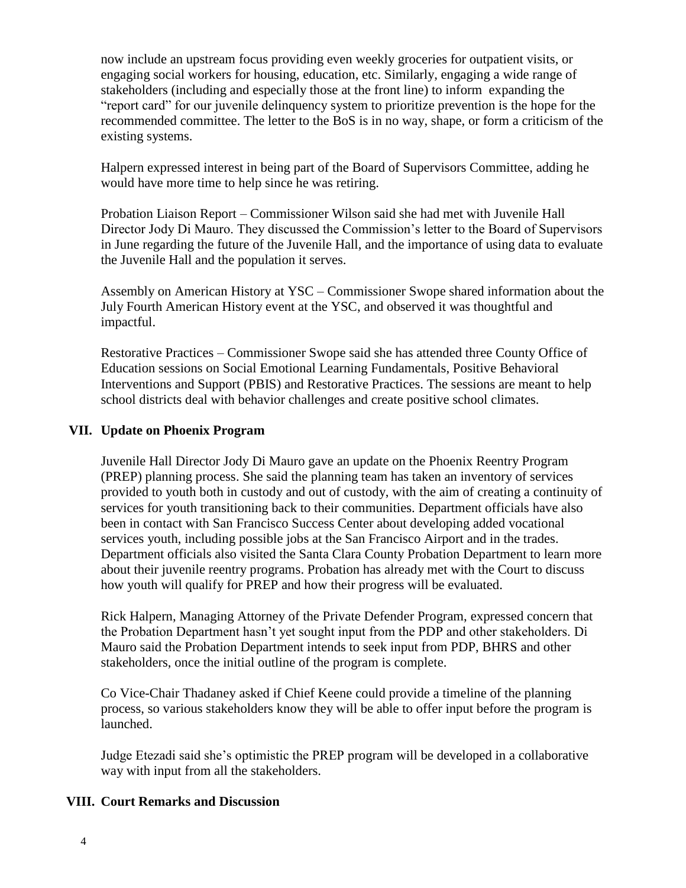now include an upstream focus providing even weekly groceries for outpatient visits, or engaging social workers for housing, education, etc. Similarly, engaging a wide range of stakeholders (including and especially those at the front line) to inform expanding the "report card" for our juvenile delinquency system to prioritize prevention is the hope for the recommended committee. The letter to the BoS is in no way, shape, or form a criticism of the existing systems.

Halpern expressed interest in being part of the Board of Supervisors Committee, adding he would have more time to help since he was retiring.

Probation Liaison Report – Commissioner Wilson said she had met with Juvenile Hall Director Jody Di Mauro. They discussed the Commission's letter to the Board of Supervisors in June regarding the future of the Juvenile Hall, and the importance of using data to evaluate the Juvenile Hall and the population it serves.

Assembly on American History at YSC – Commissioner Swope shared information about the July Fourth American History event at the YSC, and observed it was thoughtful and impactful.

Restorative Practices – Commissioner Swope said she has attended three County Office of Education sessions on Social Emotional Learning Fundamentals, Positive Behavioral Interventions and Support (PBIS) and Restorative Practices. The sessions are meant to help school districts deal with behavior challenges and create positive school climates.

### **VII. Update on Phoenix Program**

Juvenile Hall Director Jody Di Mauro gave an update on the Phoenix Reentry Program (PREP) planning process. She said the planning team has taken an inventory of services provided to youth both in custody and out of custody, with the aim of creating a continuity of services for youth transitioning back to their communities. Department officials have also been in contact with San Francisco Success Center about developing added vocational services youth, including possible jobs at the San Francisco Airport and in the trades. Department officials also visited the Santa Clara County Probation Department to learn more about their juvenile reentry programs. Probation has already met with the Court to discuss how youth will qualify for PREP and how their progress will be evaluated.

Rick Halpern, Managing Attorney of the Private Defender Program, expressed concern that the Probation Department hasn't yet sought input from the PDP and other stakeholders. Di Mauro said the Probation Department intends to seek input from PDP, BHRS and other stakeholders, once the initial outline of the program is complete.

Co Vice-Chair Thadaney asked if Chief Keene could provide a timeline of the planning process, so various stakeholders know they will be able to offer input before the program is launched.

Judge Etezadi said she's optimistic the PREP program will be developed in a collaborative way with input from all the stakeholders.

### **VIII. Court Remarks and Discussion**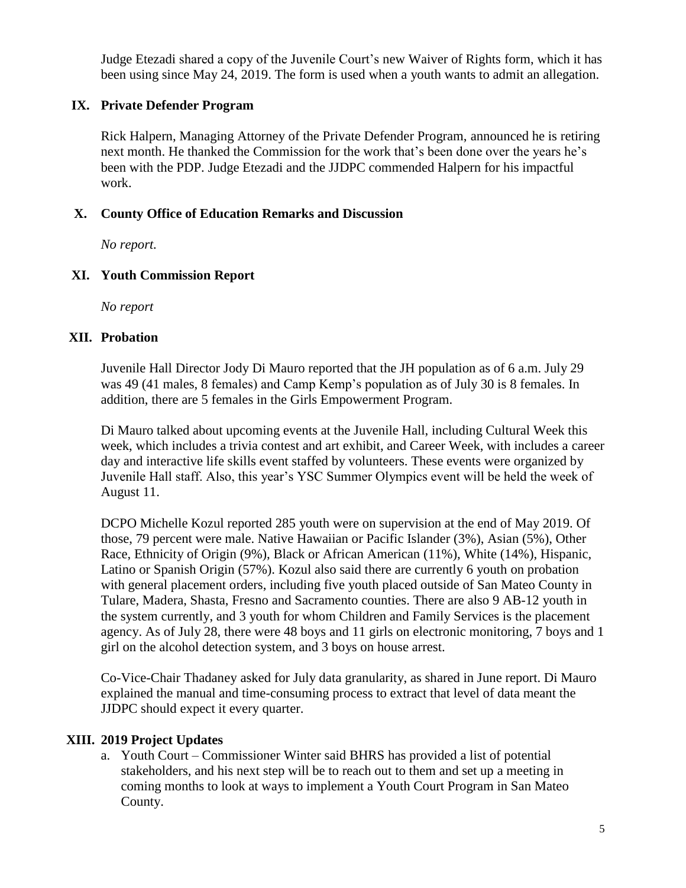Judge Etezadi shared a copy of the Juvenile Court's new Waiver of Rights form, which it has been using since May 24, 2019. The form is used when a youth wants to admit an allegation.

## **IX. Private Defender Program**

Rick Halpern, Managing Attorney of the Private Defender Program, announced he is retiring next month. He thanked the Commission for the work that's been done over the years he's been with the PDP. Judge Etezadi and the JJDPC commended Halpern for his impactful work.

### **X. County Office of Education Remarks and Discussion**

*No report.*

### **XI. Youth Commission Report**

*No report*

### **XII. Probation**

Juvenile Hall Director Jody Di Mauro reported that the JH population as of 6 a.m. July 29 was 49 (41 males, 8 females) and Camp Kemp's population as of July 30 is 8 females. In addition, there are 5 females in the Girls Empowerment Program.

Di Mauro talked about upcoming events at the Juvenile Hall, including Cultural Week this week, which includes a trivia contest and art exhibit, and Career Week, with includes a career day and interactive life skills event staffed by volunteers. These events were organized by Juvenile Hall staff. Also, this year's YSC Summer Olympics event will be held the week of August 11.

DCPO Michelle Kozul reported 285 youth were on supervision at the end of May 2019. Of those, 79 percent were male. Native Hawaiian or Pacific Islander (3%), Asian (5%), Other Race, Ethnicity of Origin (9%), Black or African American (11%), White (14%), Hispanic, Latino or Spanish Origin (57%). Kozul also said there are currently 6 youth on probation with general placement orders, including five youth placed outside of San Mateo County in Tulare, Madera, Shasta, Fresno and Sacramento counties. There are also 9 AB-12 youth in the system currently, and 3 youth for whom Children and Family Services is the placement agency. As of July 28, there were 48 boys and 11 girls on electronic monitoring, 7 boys and 1 girl on the alcohol detection system, and 3 boys on house arrest.

Co-Vice-Chair Thadaney asked for July data granularity, as shared in June report. Di Mauro explained the manual and time-consuming process to extract that level of data meant the JJDPC should expect it every quarter.

### **XIII. 2019 Project Updates**

a. Youth Court – Commissioner Winter said BHRS has provided a list of potential stakeholders, and his next step will be to reach out to them and set up a meeting in coming months to look at ways to implement a Youth Court Program in San Mateo County.